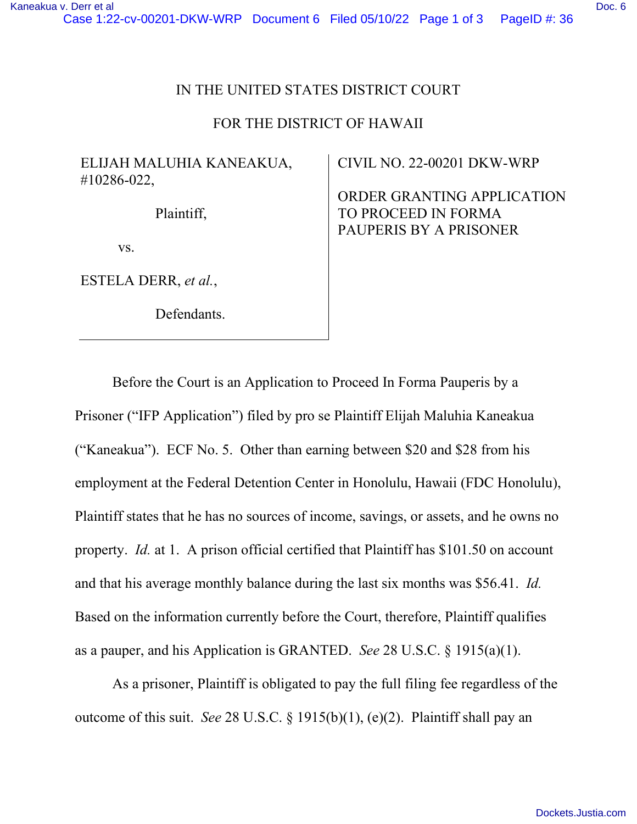### IN THE UNITED STATES DISTRICT COURT

#### FOR THE DISTRICT OF HAWAII

## ELIJAH MALUHIA KANEAKUA, #10286-022,

Plaintiff,

vs.

ESTELA DERR, *et al.*,

Defendants.

CIVIL NO. 22-00201 DKW-WRP

ORDER GRANTING APPLICATION TO PROCEED IN FORMA PAUPERIS BY A PRISONER

Before the Court is an Application to Proceed In Forma Pauperis by a Prisoner ("IFP Application") filed by pro se Plaintiff Elijah Maluhia Kaneakua ("Kaneakua"). ECF No. 5. Other than earning between \$20 and \$28 from his employment at the Federal Detention Center in Honolulu, Hawaii (FDC Honolulu), Plaintiff states that he has no sources of income, savings, or assets, and he owns no property. *Id.* at 1. A prison official certified that Plaintiff has \$101.50 on account and that his average monthly balance during the last six months was \$56.41. *Id.* Based on the information currently before the Court, therefore, Plaintiff qualifies as a pauper, and his Application is GRANTED. *See* 28 U.S.C. § 1915(a)(1).

As a prisoner, Plaintiff is obligated to pay the full filing fee regardless of the outcome of this suit. *See* 28 U.S.C. § 1915(b)(1), (e)(2). Plaintiff shall pay an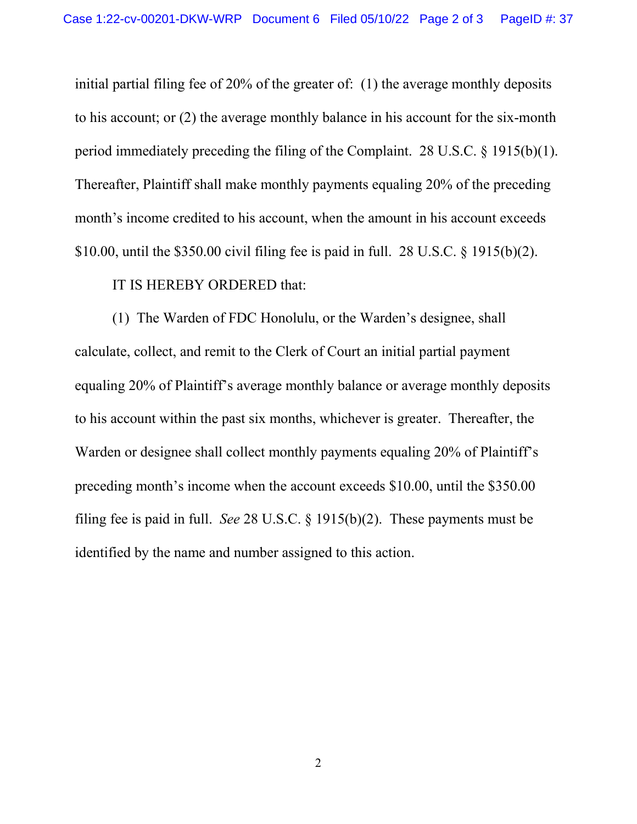initial partial filing fee of 20% of the greater of: (1) the average monthly deposits to his account; or (2) the average monthly balance in his account for the six-month period immediately preceding the filing of the Complaint. 28 U.S.C. § 1915(b)(1). Thereafter, Plaintiff shall make monthly payments equaling 20% of the preceding month's income credited to his account, when the amount in his account exceeds \$10.00, until the \$350.00 civil filing fee is paid in full. 28 U.S.C. § 1915(b)(2).

## IT IS HEREBY ORDERED that:

(1) The Warden of FDC Honolulu, or the Warden's designee, shall calculate, collect, and remit to the Clerk of Court an initial partial payment equaling 20% of Plaintiff's average monthly balance or average monthly deposits to his account within the past six months, whichever is greater. Thereafter, the Warden or designee shall collect monthly payments equaling 20% of Plaintiff's preceding month's income when the account exceeds \$10.00, until the \$350.00 filing fee is paid in full. *See* 28 U.S.C. § 1915(b)(2). These payments must be identified by the name and number assigned to this action.